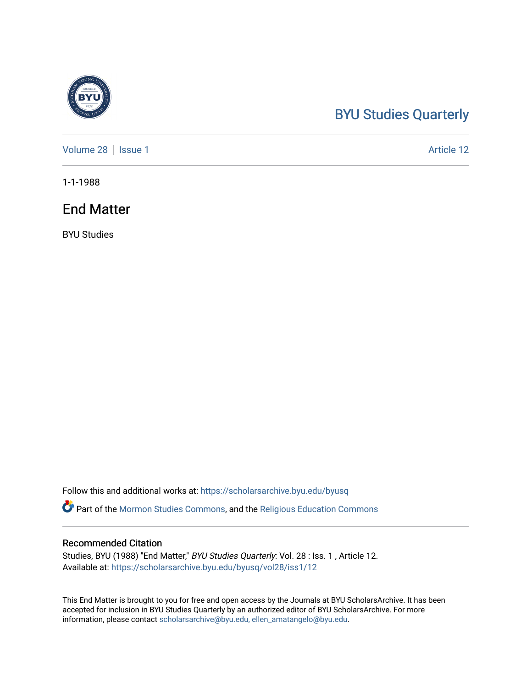## [BYU Studies Quarterly](https://scholarsarchive.byu.edu/byusq)

[Volume 28](https://scholarsarchive.byu.edu/byusq/vol28) | [Issue 1](https://scholarsarchive.byu.edu/byusq/vol28/iss1) Article 12

1-1-1988

## End Matter

BYU Studies

Follow this and additional works at: [https://scholarsarchive.byu.edu/byusq](https://scholarsarchive.byu.edu/byusq?utm_source=scholarsarchive.byu.edu%2Fbyusq%2Fvol28%2Fiss1%2F12&utm_medium=PDF&utm_campaign=PDFCoverPages) 

Part of the [Mormon Studies Commons](http://network.bepress.com/hgg/discipline/1360?utm_source=scholarsarchive.byu.edu%2Fbyusq%2Fvol28%2Fiss1%2F12&utm_medium=PDF&utm_campaign=PDFCoverPages), and the [Religious Education Commons](http://network.bepress.com/hgg/discipline/1414?utm_source=scholarsarchive.byu.edu%2Fbyusq%2Fvol28%2Fiss1%2F12&utm_medium=PDF&utm_campaign=PDFCoverPages) 

#### Recommended Citation

Studies, BYU (1988) "End Matter," BYU Studies Quarterly: Vol. 28 : Iss. 1 , Article 12. Available at: [https://scholarsarchive.byu.edu/byusq/vol28/iss1/12](https://scholarsarchive.byu.edu/byusq/vol28/iss1/12?utm_source=scholarsarchive.byu.edu%2Fbyusq%2Fvol28%2Fiss1%2F12&utm_medium=PDF&utm_campaign=PDFCoverPages) 

This End Matter is brought to you for free and open access by the Journals at BYU ScholarsArchive. It has been accepted for inclusion in BYU Studies Quarterly by an authorized editor of BYU ScholarsArchive. For more information, please contact [scholarsarchive@byu.edu, ellen\\_amatangelo@byu.edu.](mailto:scholarsarchive@byu.edu,%20ellen_amatangelo@byu.edu)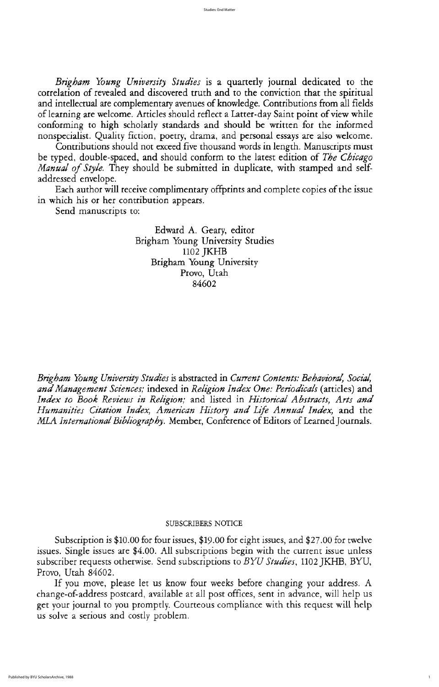Contributions should not exceed five thousand words in length. Manuscripts must be typed, double-spaced, and should conform to the latest edition of The Chicago Manual of Style. They should be submitted in duplicate, with stamped and selfaddressed envelope

Each author will receive complimentary offprints and complete copies of the issue in which his or her contribution appears

Send manuscripts to:

Edward A. Geary, editor Brigham Young University Studies 1102 JKHB Brigham Young University Provo, Utah 84602

Brigham Young University Studies is abstracted in Current Contents: Behavioral, Social, and Management Sciences; indexed in Religion Index One: Periodicals (articles) and Index to Book Reviews in Religion; and listed in Historical Abstracts, Arts and Humanities Citation Index, American History and Life Annual Index, and the MLA International Bibliography. Member, Conference of Editors of Learned Journals.

If you move, please let us know four weeks before changing your address. A change-of-address postcard, available at all post offices, sent in advance, will help us get your journal to you promptly. Courteous compliance with this request will help us solve a serious and costly problem

# subscribers NOTICE

Subscription is \$10.00 for four issues, \$19.00 for eight issues, and \$27.00 for twelve issues. Single issues are \$4.00. All subscriptions begin with the current issue unless subscriber requests otherwise. Send subscriptions to BYU Studies, 1102 JKHB, BYU, Provo, Utah 84602.

Brigham Young University Studies is a quarterly journal dedicated to the correlation of revealed and discovered truth and to the conviction that the spiritual and intellectual are complementary avenues of knowledge. Contributions from all fields of learning are welcome. Articles should reflect a Latter-day Saint point of view while conforming to high scholarly standards and should be written for the informed nonspecialist. Quality fiction, poetry, drama, and personal essays are also welcome.